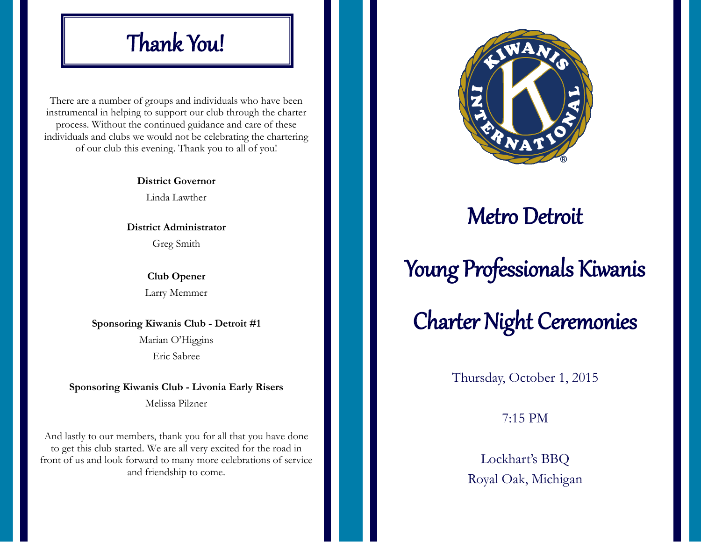## Thank You!

There are a number of groups and individuals who have been instrumental in helping to support our club through the charter process. Without the continued guidance and care of these individuals and clubs we would not be celebrating the chartering of our club this evening. Thank you to all of you!

> **District Governor**  Linda Lawther

**District Administrator**  Greg Smith

> **Club Opener**  Larry Memmer

**Sponsoring Kiwanis Club - Detroit #1** Marian O'Higgins

Eric Sabree

**Sponsoring Kiwanis Club - Livonia Early Risers**

Melissa Pilzner

And lastly to our members, thank you for all that you have done to get this club started. We are all very excited for the road in front of us and look forward to many more celebrations of service and friendship to come.



#### Metro Detroit

# Young Professionals Kiwanis

# Charter Night Ceremonies

Thursday, October 1, 2015

7:15 PM

Lockhart's BBQ Royal Oak, Michigan